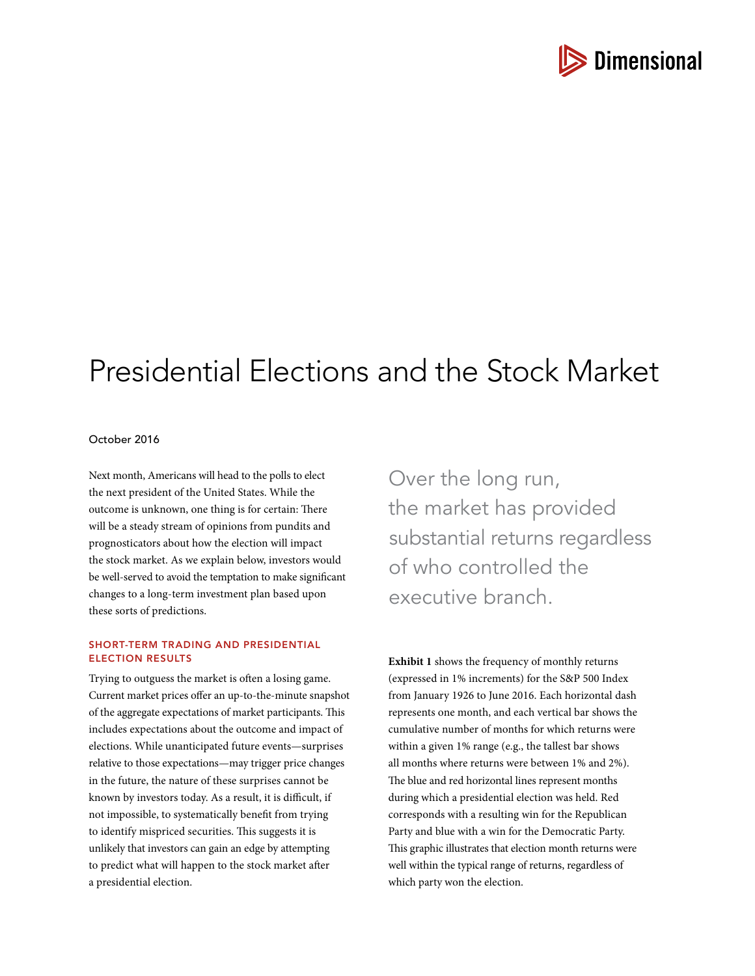

# Presidential Elections and the Stock Market

# October 2016

Next month, Americans will head to the polls to elect the next president of the United States. While the outcome is unknown, one thing is for certain: There will be a steady stream of opinions from pundits and prognosticators about how the election will impact the stock market. As we explain below, investors would be well-served to avoid the temptation to make significant changes to a long‑term investment plan based upon these sorts of predictions.

## SHORT-TERM TRADING AND PRESIDENTIAL ELECTION RESULTS

Trying to outguess the market is often a losing game. Current market prices offer an up-to-the-minute snapshot of the aggregate expectations of market participants. This includes expectations about the outcome and impact of elections. While unanticipated future events—surprises relative to those expectations—may trigger price changes in the future, the nature of these surprises cannot be known by investors today. As a result, it is difficult, if not impossible, to systematically benefit from trying to identify mispriced securities. This suggests it is unlikely that investors can gain an edge by attempting to predict what will happen to the stock market after a presidential election.

Over the long run, the market has provided substantial returns regardless of who controlled the executive branch.

**Exhibit 1** shows the frequency of monthly returns (expressed in 1% increments) for the S&P 500 Index from January 1926 to June 2016. Each horizontal dash represents one month, and each vertical bar shows the cumulative number of months for which returns were within a given 1% range (e.g., the tallest bar shows all months where returns were between 1% and 2%). The blue and red horizontal lines represent months during which a presidential election was held. Red corresponds with a resulting win for the Republican Party and blue with a win for the Democratic Party. This graphic illustrates that election month returns were well within the typical range of returns, regardless of which party won the election.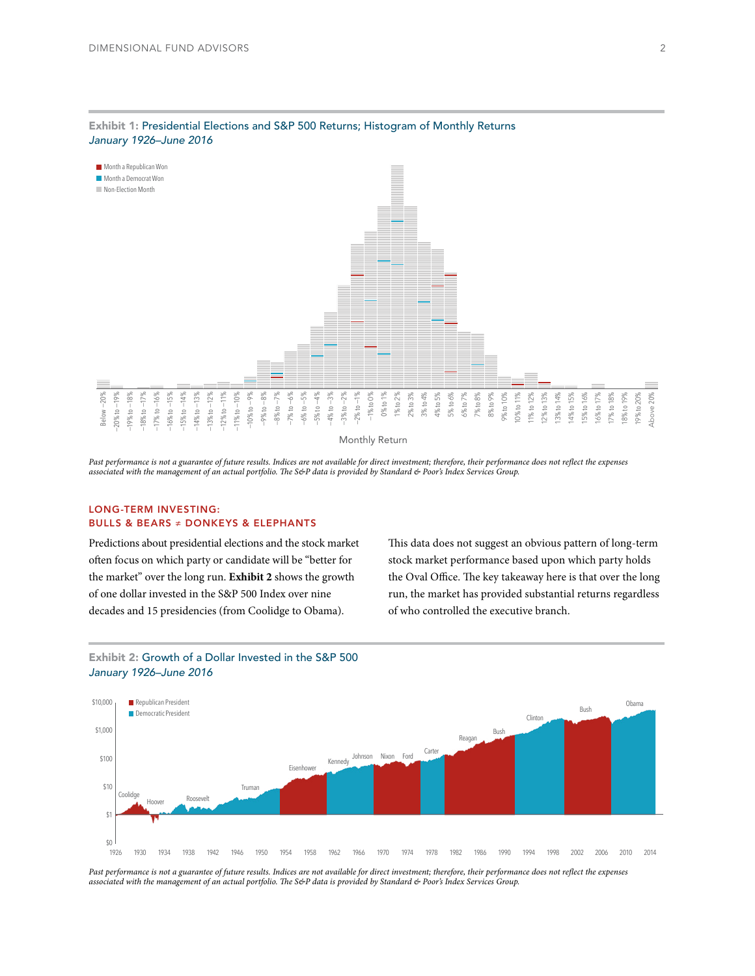

#### Exhibit 1: Presidential Elections and S&P 500 Returns; Histogram of Monthly Returns *January 1926–June 2016*

Past performance is not a guarantee of future results. Indices are not available for direct investment; therefore, their performance does not reflect the expenses *associated with the management of an actual portfolio. The S&P data is provided by Standard & Poor's Index Services Group.*

## LONG-TERM INVESTING: BULLS & BEARS ≠ DONKEYS & ELEPHANTS

Predictions about presidential elections and the stock market often focus on which party or candidate will be "better for the market" over the long run. **Exhibit 2** shows the growth of one dollar invested in the S&P 500 Index over nine decades and 15 presidencies (from Coolidge to Obama).

This data does not suggest an obvious pattern of long-term stock market performance based upon which party holds the Oval Office. The key takeaway here is that over the long run, the market has provided substantial returns regardless of who controlled the executive branch.



# Exhibit 2: Growth of a Dollar Invested in the S&P 500 *January 1926–June 2016*

Past performance is not a guarantee of future results. Indices are not available for direct investment; therefore, their performance does not reflect the expenses *associated with the management of an actual portfolio. The S&P data is provided by Standard & Poor's Index Services Group.*